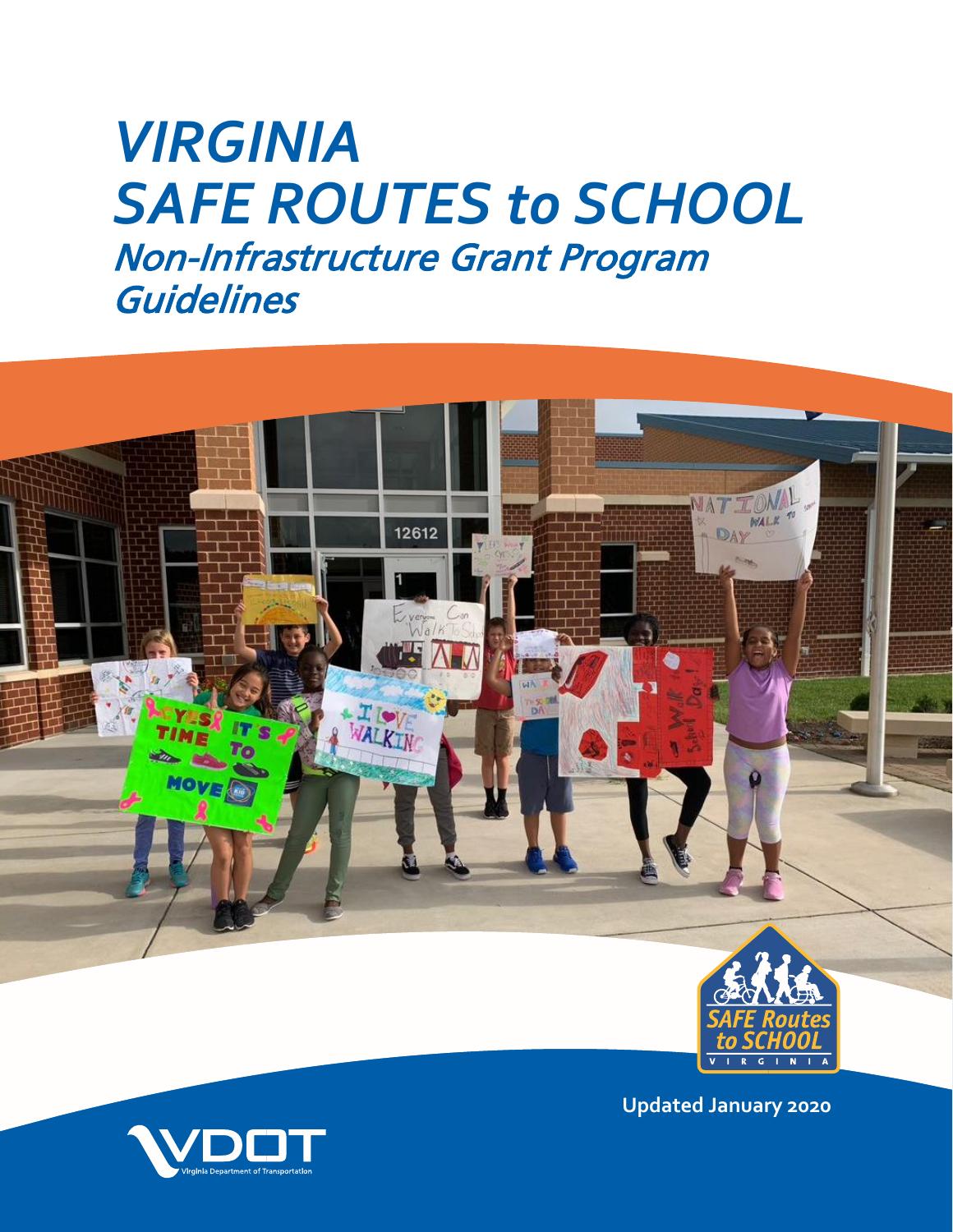# *VIRGINIA SAFE ROUTES to SCHOOL* Non-Infrastructure Grant Program **Guidelines**



**Updated January 2020**

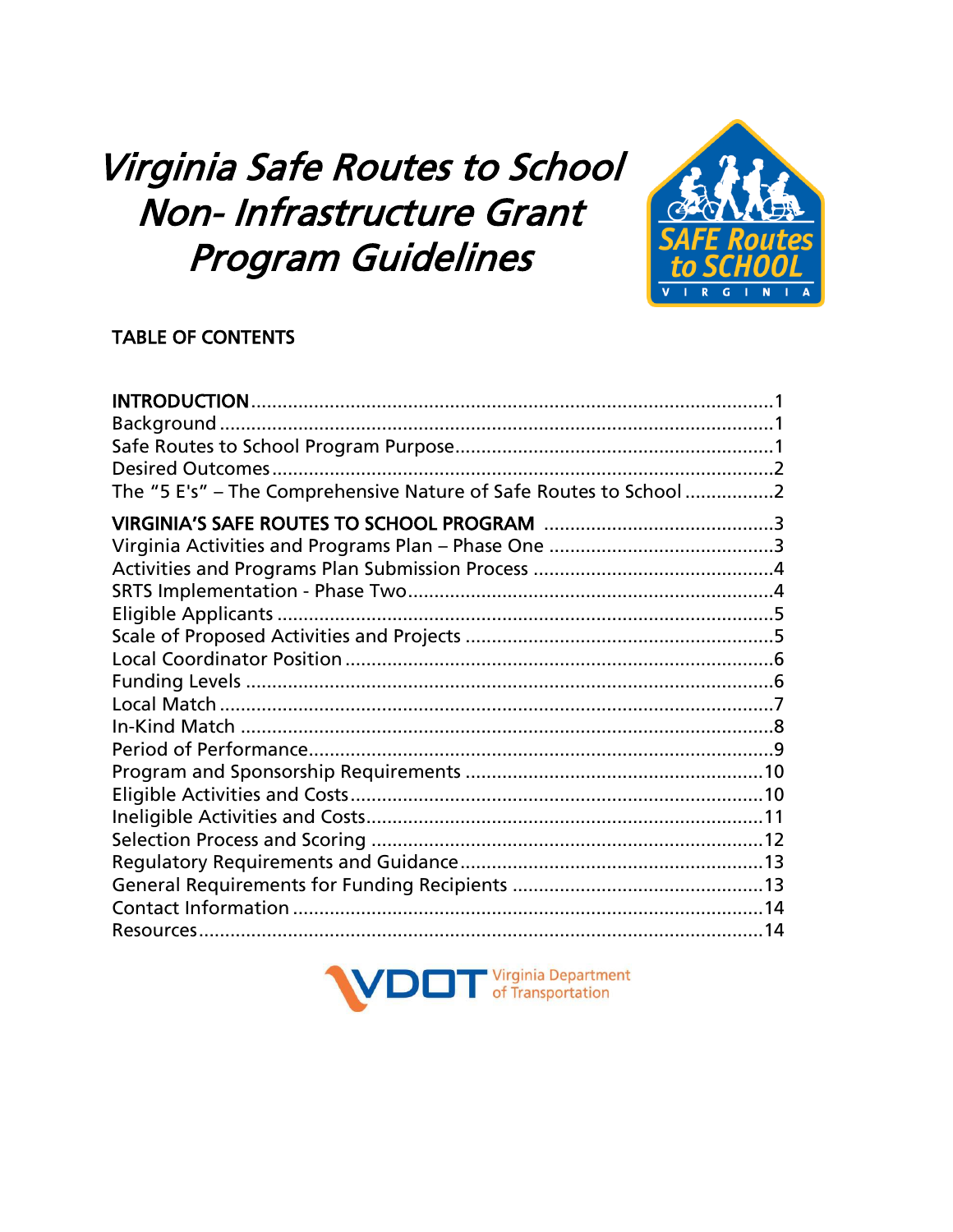## Virginia Safe Routes to School Non- Infrastructure Grant **Program Guidelines**



## **TABLE OF CONTENTS**

| The "5 E's" - The Comprehensive Nature of Safe Routes to School 2 |  |
|-------------------------------------------------------------------|--|
|                                                                   |  |
|                                                                   |  |
|                                                                   |  |
|                                                                   |  |
|                                                                   |  |
|                                                                   |  |
|                                                                   |  |
|                                                                   |  |
|                                                                   |  |
|                                                                   |  |
|                                                                   |  |
|                                                                   |  |
|                                                                   |  |
|                                                                   |  |
|                                                                   |  |
|                                                                   |  |
|                                                                   |  |
|                                                                   |  |
|                                                                   |  |

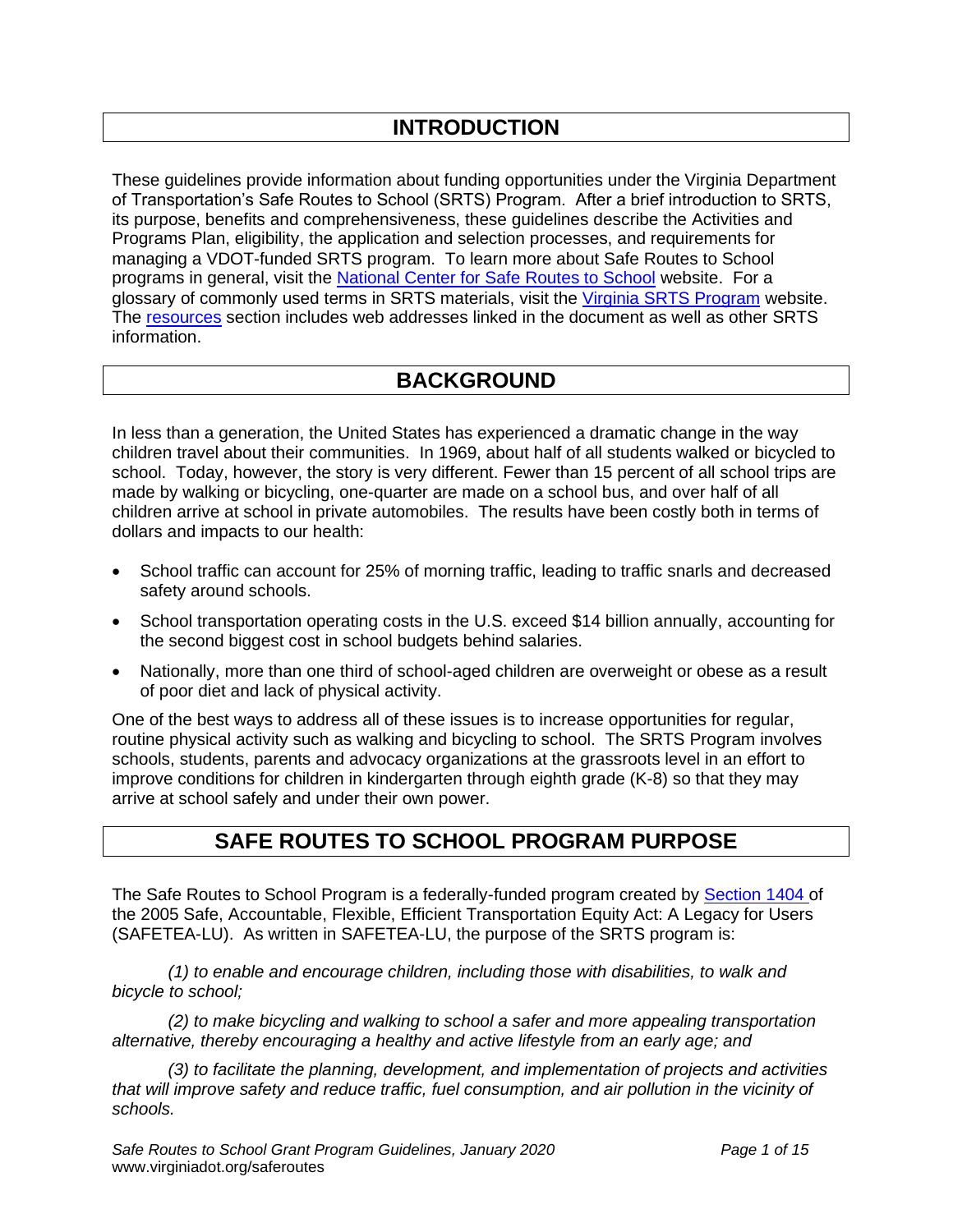## **INTRODUCTION**

These guidelines provide information about funding opportunities under the Virginia Department of Transportation's Safe Routes to School (SRTS) Program. After a brief introduction to SRTS, its purpose, benefits and comprehensiveness, these guidelines describe the Activities and Programs Plan, eligibility, the application and selection processes, and requirements for managing a VDOT-funded SRTS program. To learn more about Safe Routes to School programs in general, visit the [National Center for Safe Routes to School](http://www.saferoutesinfo.org/) website. For a glossary of commonly used terms in SRTS materials, visit the [Virginia SRTS Program](http://www.virginiadot.org/saferoutes) website. The [resources](http://www.virginiadot.org/programs/srsm_links_and_resources.asp) section includes web addresses linked in the document as well as other SRTS information.

## **BACKGROUND**

In less than a generation, the United States has experienced a dramatic change in the way children travel about their communities. In 1969, about half of all students walked or bicycled to school. Today, however, the story is very different. Fewer than 15 percent of all school trips are made by walking or bicycling, one-quarter are made on a school bus, and over half of all children arrive at school in private automobiles. The results have been costly both in terms of dollars and impacts to our health:

- School traffic can account for 25% of morning traffic, leading to traffic snarls and decreased safety around schools.
- School transportation operating costs in the U.S. exceed \$14 billion annually, accounting for the second biggest cost in school budgets behind salaries.
- Nationally, more than one third of school-aged children are overweight or obese as a result of poor diet and lack of physical activity.

One of the best ways to address all of these issues is to increase opportunities for regular, routine physical activity such as walking and bicycling to school. The SRTS Program involves schools, students, parents and advocacy organizations at the grassroots level in an effort to improve conditions for children in kindergarten through eighth grade (K-8) so that they may arrive at school safely and under their own power.

## **SAFE ROUTES TO SCHOOL PROGRAM PURPOSE**

The Safe Routes to School Program is a federally-funded program created by [Section 1404 o](http://safety.fhwa.dot.gov/saferoutes/legislation.htm)f the 2005 Safe, Accountable, Flexible, Efficient Transportation Equity Act: A Legacy for Users (SAFETEA-LU). As written in SAFETEA-LU, the purpose of the SRTS program is:

*(1) to enable and encourage children, including those with disabilities, to walk and bicycle to school;*

*(2) to make bicycling and walking to school a safer and more appealing transportation alternative, thereby encouraging a healthy and active lifestyle from an early age; and*

*(3) to facilitate the planning, development, and implementation of projects and activities that will improve safety and reduce traffic, fuel consumption, and air pollution in the vicinity of schools.*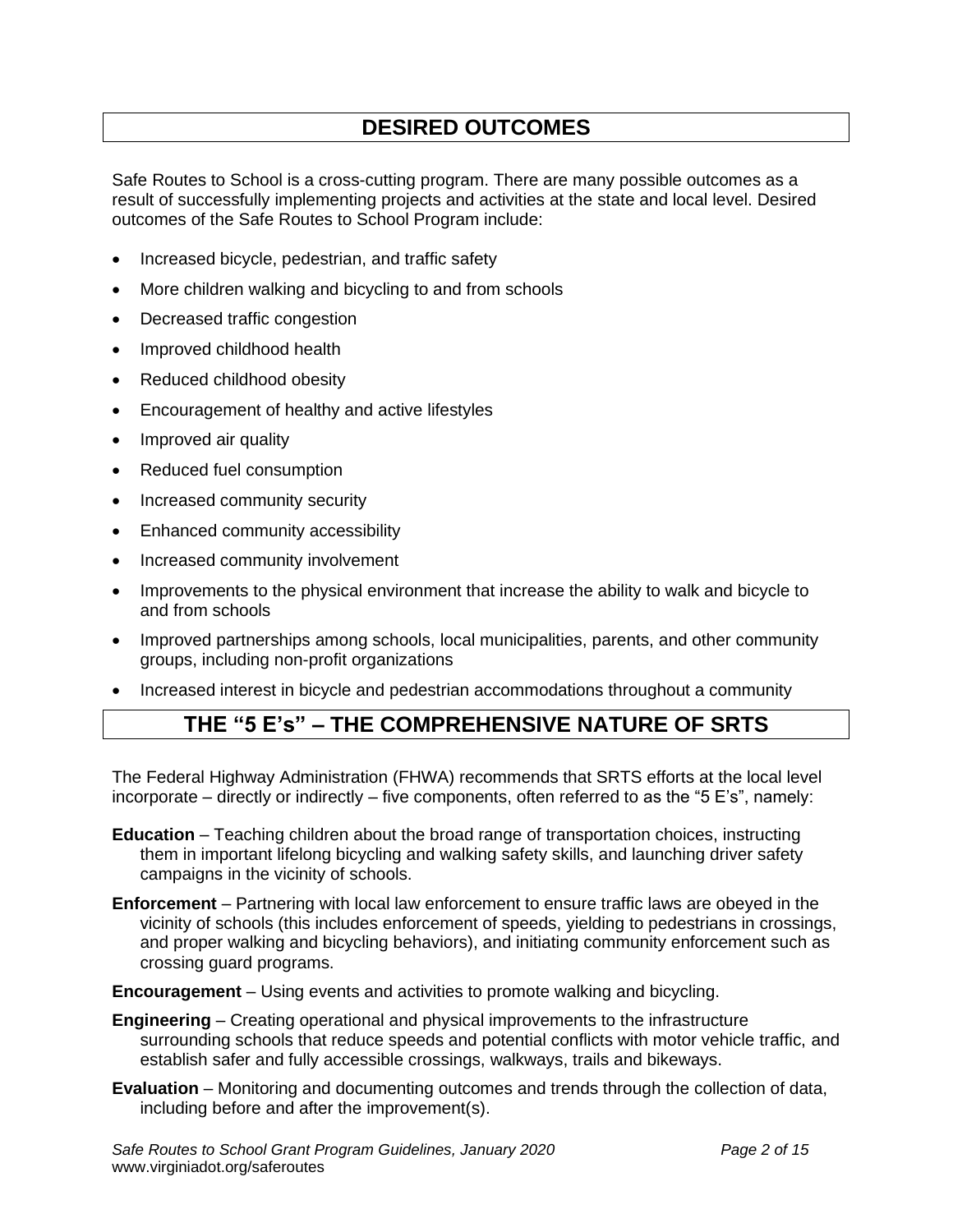## **DESIRED OUTCOMES**

Safe Routes to School is a cross-cutting program. There are many possible outcomes as a result of successfully implementing projects and activities at the state and local level. Desired outcomes of the Safe Routes to School Program include:

- Increased bicycle, pedestrian, and traffic safety
- More children walking and bicycling to and from schools
- Decreased traffic congestion
- Improved childhood health
- Reduced childhood obesity
- Encouragement of healthy and active lifestyles
- Improved air quality
- Reduced fuel consumption
- Increased community security
- Enhanced community accessibility
- Increased community involvement
- Improvements to the physical environment that increase the ability to walk and bicycle to and from schools
- Improved partnerships among schools, local municipalities, parents, and other community groups, including non-profit organizations
- Increased interest in bicycle and pedestrian accommodations throughout a community

## **THE "5 E's" – THE COMPREHENSIVE NATURE OF SRTS**

The Federal Highway Administration (FHWA) recommends that SRTS efforts at the local level incorporate – directly or indirectly – five components, often referred to as the "5 E's", namely:

**Education** – Teaching children about the broad range of transportation choices, instructing them in important lifelong bicycling and walking safety skills, and launching driver safety campaigns in the vicinity of schools.

**Enforcement** – Partnering with local law enforcement to ensure traffic laws are obeyed in the vicinity of schools (this includes enforcement of speeds, yielding to pedestrians in crossings, and proper walking and bicycling behaviors), and initiating community enforcement such as crossing guard programs.

**Encouragement** – Using events and activities to promote walking and bicycling.

- **Engineering** Creating operational and physical improvements to the infrastructure surrounding schools that reduce speeds and potential conflicts with motor vehicle traffic, and establish safer and fully accessible crossings, walkways, trails and bikeways.
- **Evaluation** Monitoring and documenting outcomes and trends through the collection of data, including before and after the improvement(s).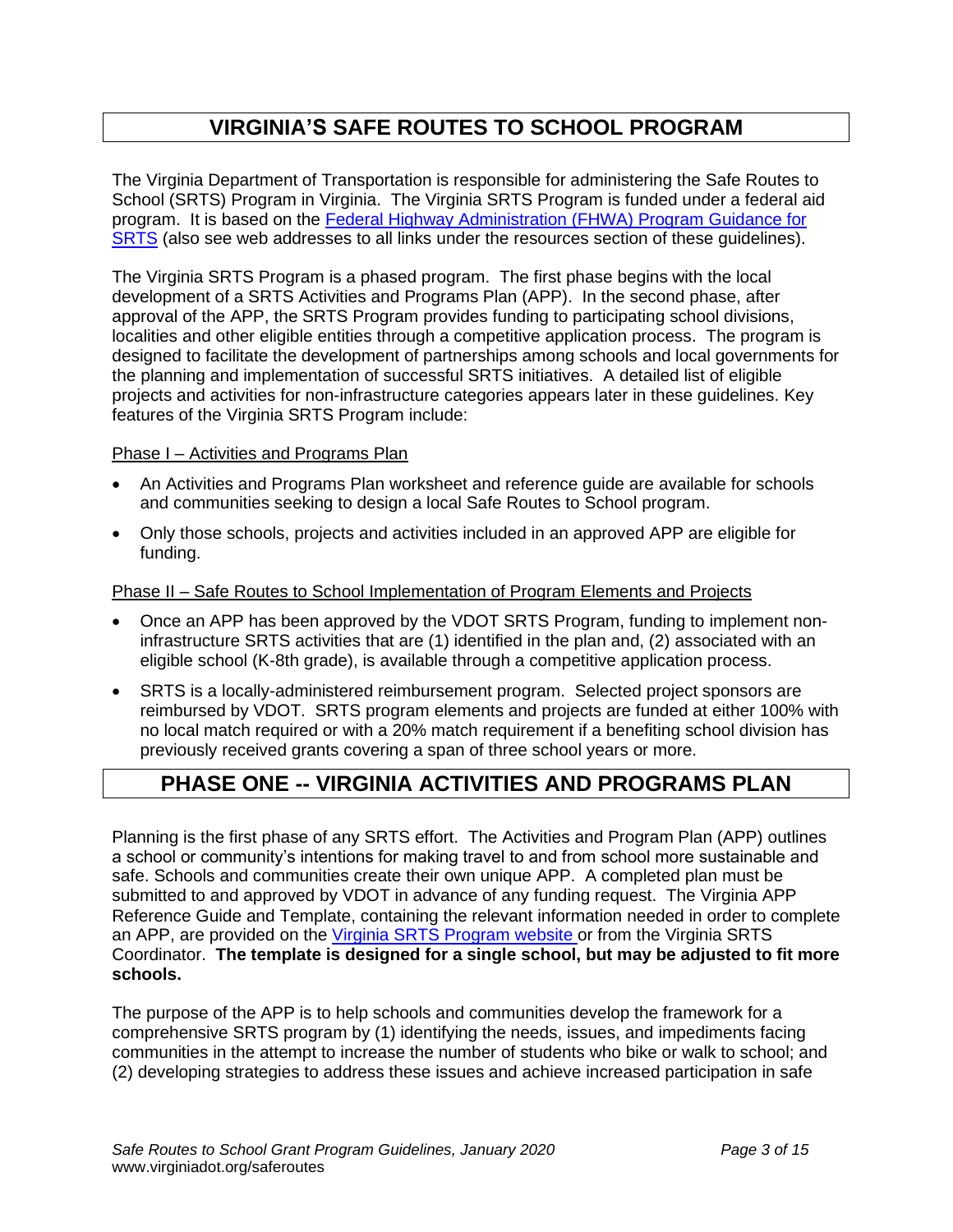## **VIRGINIA'S SAFE ROUTES TO SCHOOL PROGRAM**

The Virginia Department of Transportation is responsible for administering the Safe Routes to School (SRTS) Program in Virginia. The Virginia SRTS Program is funded under a federal aid program. It is based on the [Federal Highway Administration \(FHWA\) Program Guidance for](http://safety.fhwa.dot.gov/saferoutes/index.htm)  [SRTS](http://safety.fhwa.dot.gov/saferoutes/index.htm) (also see web addresses to all links under the resources section of these guidelines).

The Virginia SRTS Program is a phased program. The first phase begins with the local development of a SRTS Activities and Programs Plan (APP). In the second phase, after approval of the APP, the SRTS Program provides funding to participating school divisions, localities and other eligible entities through a competitive application process. The program is designed to facilitate the development of partnerships among schools and local governments for the planning and implementation of successful SRTS initiatives. A detailed list of eligible projects and activities for non-infrastructure categories appears later in these guidelines. Key features of the Virginia SRTS Program include:

#### Phase I – Activities and Programs Plan

- An Activities and Programs Plan worksheet and reference guide are available for schools and communities seeking to design a local Safe Routes to School program.
- Only those schools, projects and activities included in an approved APP are eligible for funding.

#### Phase II – Safe Routes to School Implementation of Program Elements and Projects

- Once an APP has been approved by the VDOT SRTS Program, funding to implement noninfrastructure SRTS activities that are (1) identified in the plan and, (2) associated with an eligible school (K-8th grade), is available through a competitive application process.
- SRTS is a locally-administered reimbursement program. Selected project sponsors are reimbursed by VDOT. SRTS program elements and projects are funded at either 100% with no local match required or with a 20% match requirement if a benefiting school division has previously received grants covering a span of three school years or more.

## **PHASE ONE -- VIRGINIA ACTIVITIES AND PROGRAMS PLAN**

Planning is the first phase of any SRTS effort. The Activities and Program Plan (APP) outlines a school or community's intentions for making travel to and from school more sustainable and safe. Schools and communities create their own unique APP. A completed plan must be submitted to and approved by VDOT in advance of any funding request. The Virginia APP Reference Guide and Template, containing the relevant information needed in order to complete an APP, are provided on the Virginia [SRTS Program](http://www.virginiadot.org/saferoutes) website or from the Virginia SRTS Coordinator. **The template is designed for a single school, but may be adjusted to fit more schools.**

The purpose of the APP is to help schools and communities develop the framework for a comprehensive SRTS program by (1) identifying the needs, issues, and impediments facing communities in the attempt to increase the number of students who bike or walk to school; and (2) developing strategies to address these issues and achieve increased participation in safe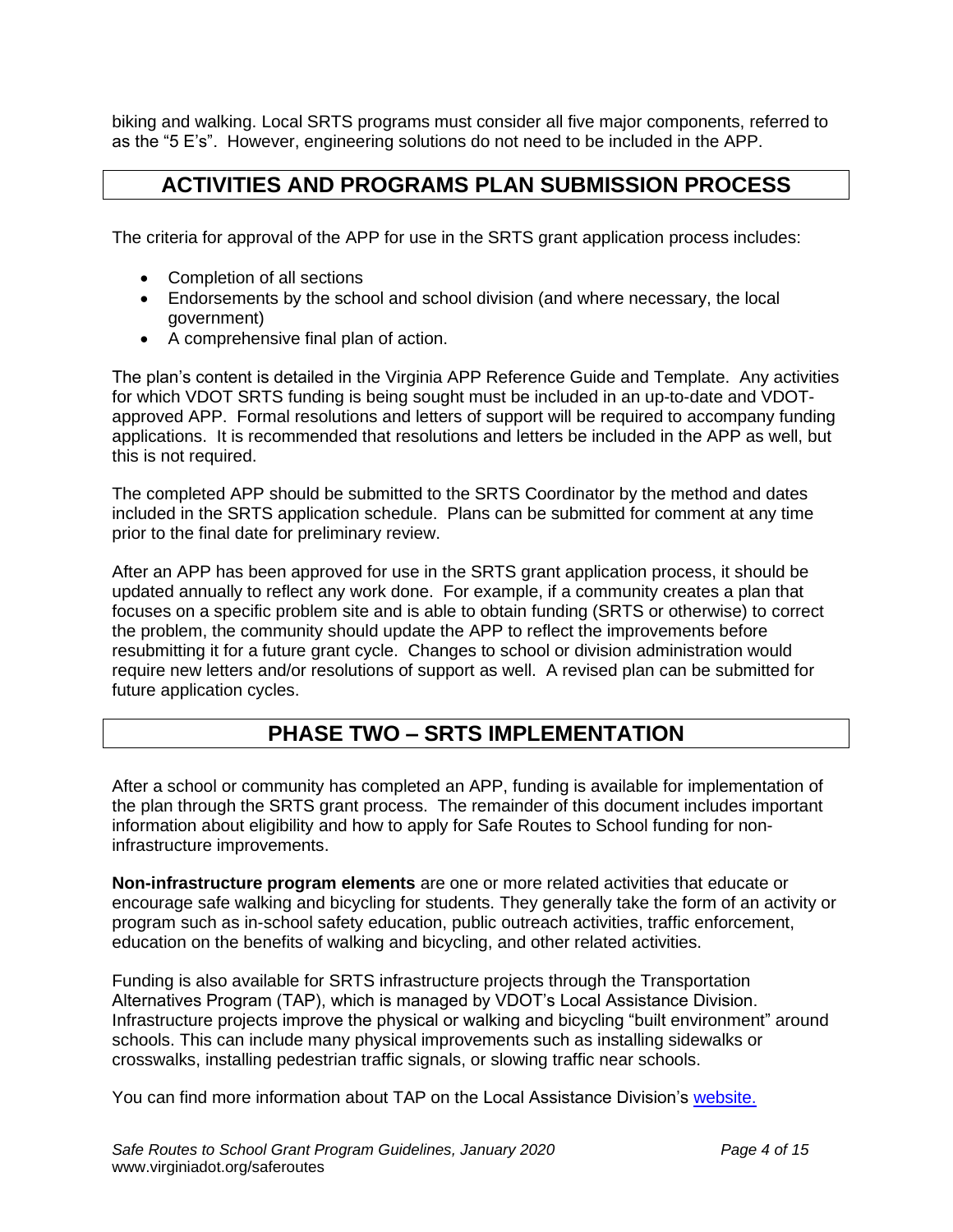biking and walking. Local SRTS programs must consider all five major components, referred to as the "5 E's". However, engineering solutions do not need to be included in the APP.

## **ACTIVITIES AND PROGRAMS PLAN SUBMISSION PROCESS**

The criteria for approval of the APP for use in the SRTS grant application process includes:

- Completion of all sections
- Endorsements by the school and school division (and where necessary, the local government)
- A comprehensive final plan of action.

The plan's content is detailed in the Virginia APP Reference Guide and Template. Any activities for which VDOT SRTS funding is being sought must be included in an up-to-date and VDOTapproved APP. Formal resolutions and letters of support will be required to accompany funding applications. It is recommended that resolutions and letters be included in the APP as well, but this is not required.

The completed APP should be submitted to the SRTS Coordinator by the method and dates included in the SRTS application schedule. Plans can be submitted for comment at any time prior to the final date for preliminary review.

After an APP has been approved for use in the SRTS grant application process, it should be updated annually to reflect any work done. For example, if a community creates a plan that focuses on a specific problem site and is able to obtain funding (SRTS or otherwise) to correct the problem, the community should update the APP to reflect the improvements before resubmitting it for a future grant cycle. Changes to school or division administration would require new letters and/or resolutions of support as well. A revised plan can be submitted for future application cycles.

## **PHASE TWO – SRTS IMPLEMENTATION**

After a school or community has completed an APP, funding is available for implementation of the plan through the SRTS grant process. The remainder of this document includes important information about eligibility and how to apply for Safe Routes to School funding for noninfrastructure improvements.

**Non-infrastructure program elements** are one or more related activities that educate or encourage safe walking and bicycling for students. They generally take the form of an activity or program such as in-school safety education, public outreach activities, traffic enforcement, education on the benefits of walking and bicycling, and other related activities.

Funding is also available for SRTS infrastructure projects through the Transportation Alternatives Program (TAP), which is managed by VDOT's Local Assistance Division. Infrastructure projects improve the physical or walking and bicycling "built environment" around schools. This can include many physical improvements such as installing sidewalks or crosswalks, installing pedestrian traffic signals, or slowing traffic near schools.

You can find more information about TAP on the Local Assistance Division's [website.](http://www.virginiadot.org/business/prenhancegrants.asp)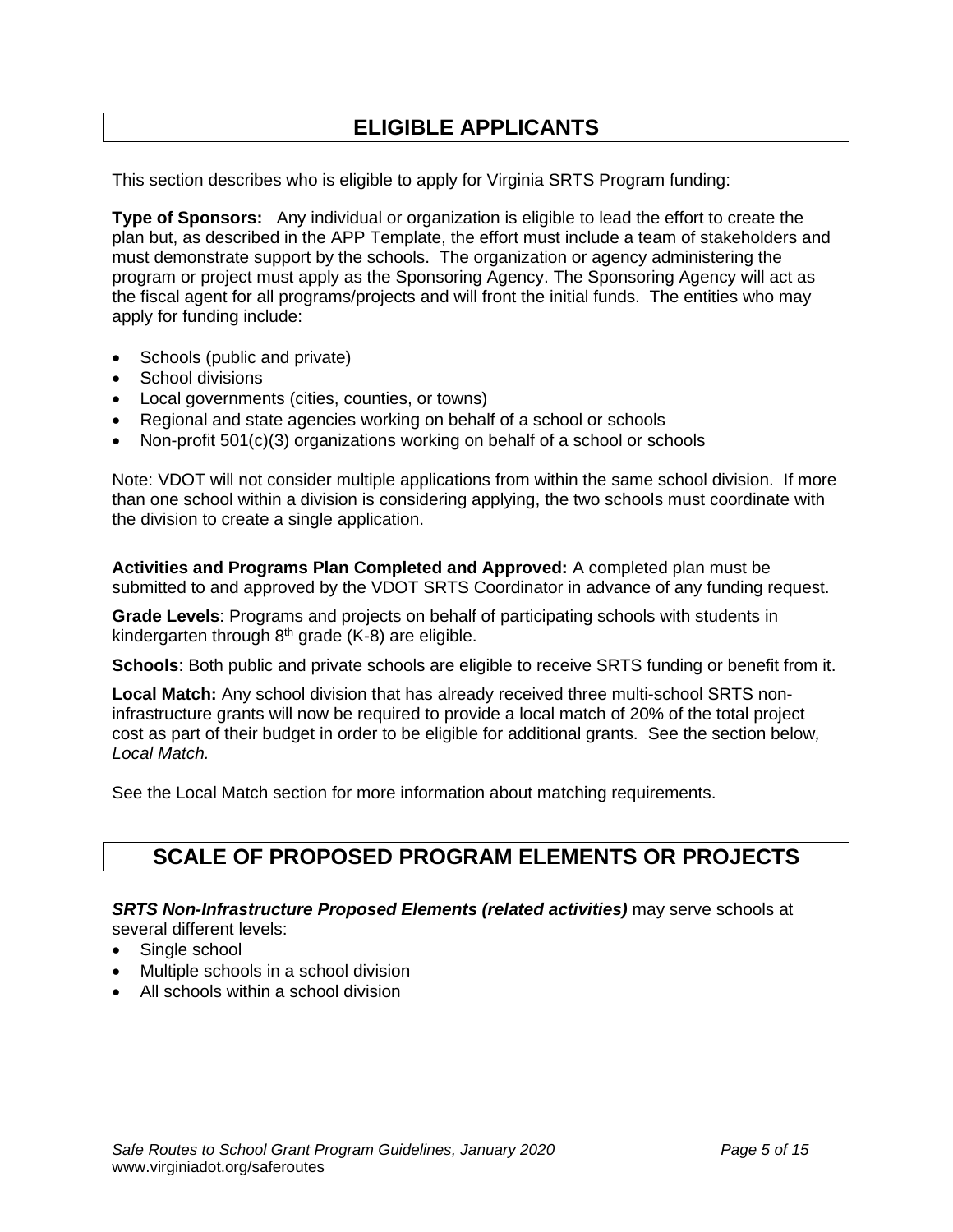## **ELIGIBLE APPLICANTS**

This section describes who is eligible to apply for Virginia SRTS Program funding:

**Type of Sponsors:** Any individual or organization is eligible to lead the effort to create the plan but, as described in the APP Template, the effort must include a team of stakeholders and must demonstrate support by the schools. The organization or agency administering the program or project must apply as the Sponsoring Agency. The Sponsoring Agency will act as the fiscal agent for all programs/projects and will front the initial funds. The entities who may apply for funding include:

- Schools (public and private)
- School divisions
- Local governments (cities, counties, or towns)
- Regional and state agencies working on behalf of a school or schools
- Non-profit 501(c)(3) organizations working on behalf of a school or schools

Note: VDOT will not consider multiple applications from within the same school division. If more than one school within a division is considering applying, the two schools must coordinate with the division to create a single application.

**Activities and Programs Plan Completed and Approved:** A completed plan must be submitted to and approved by the VDOT SRTS Coordinator in advance of any funding request.

**Grade Levels**: Programs and projects on behalf of participating schools with students in kindergarten through  $8<sup>th</sup>$  grade (K-8) are eligible.

**Schools**: Both public and private schools are eligible to receive SRTS funding or benefit from it.

**Local Match:** Any school division that has already received three multi-school SRTS noninfrastructure grants will now be required to provide a local match of 20% of the total project cost as part of their budget in order to be eligible for additional grants. See the section below*, Local Match.*

See the Local Match section for more information about matching requirements.

## **SCALE OF PROPOSED PROGRAM ELEMENTS OR PROJECTS**

#### **SRTS Non-Infrastructure Proposed Elements (related activities)** may serve schools at several different levels:

- Single school
- Multiple schools in a school division
- All schools within a school division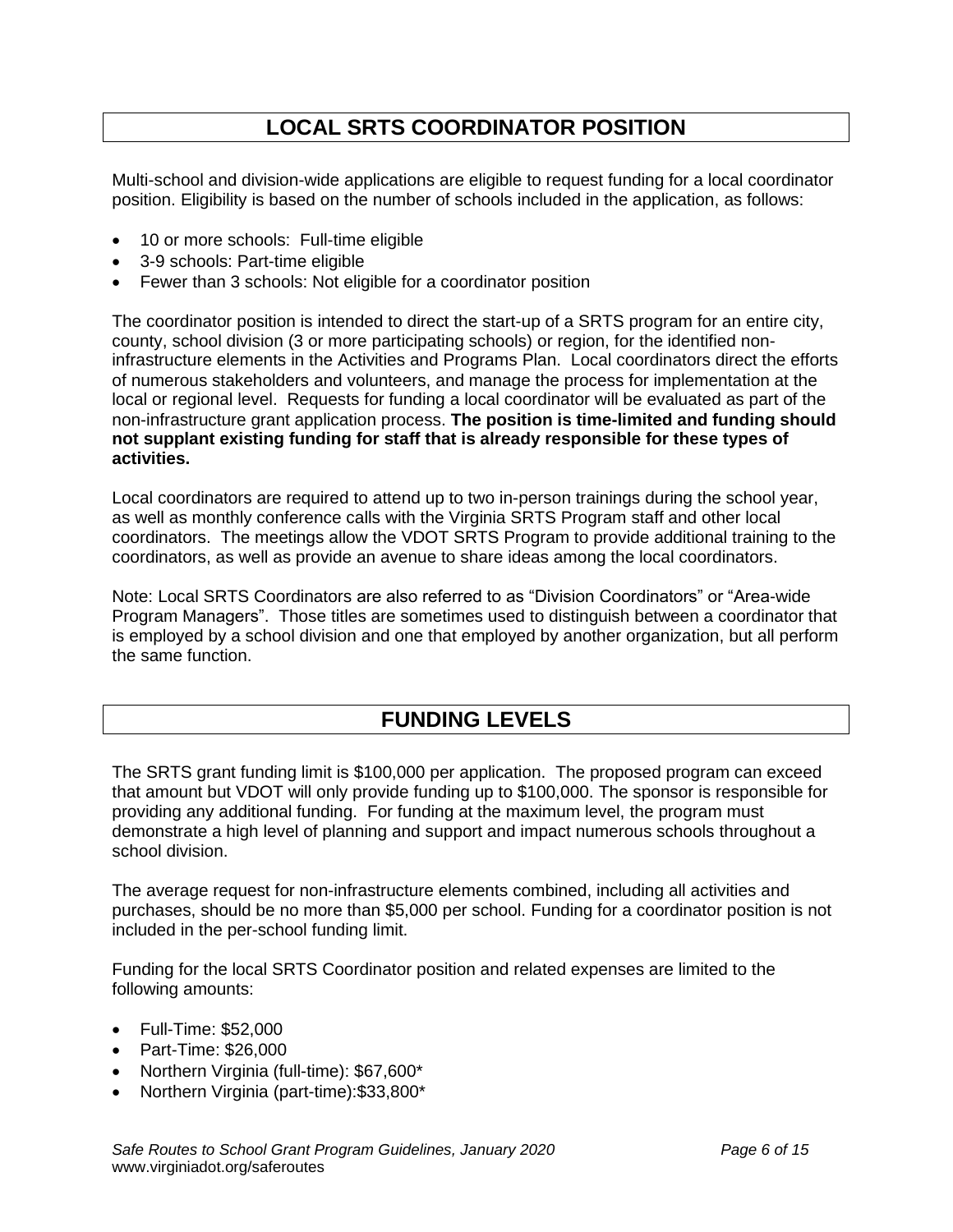## **LOCAL SRTS COORDINATOR POSITION**

Multi-school and division-wide applications are eligible to request funding for a local coordinator position. Eligibility is based on the number of schools included in the application, as follows:

- 10 or more schools: Full-time eligible
- 3-9 schools: Part-time eligible
- Fewer than 3 schools: Not eligible for a coordinator position

The coordinator position is intended to direct the start-up of a SRTS program for an entire city, county, school division (3 or more participating schools) or region, for the identified noninfrastructure elements in the Activities and Programs Plan. Local coordinators direct the efforts of numerous stakeholders and volunteers, and manage the process for implementation at the local or regional level. Requests for funding a local coordinator will be evaluated as part of the non-infrastructure grant application process. **The position is time-limited and funding should not supplant existing funding for staff that is already responsible for these types of activities.**

Local coordinators are required to attend up to two in-person trainings during the school year, as well as monthly conference calls with the Virginia SRTS Program staff and other local coordinators. The meetings allow the VDOT SRTS Program to provide additional training to the coordinators, as well as provide an avenue to share ideas among the local coordinators.

Note: Local SRTS Coordinators are also referred to as "Division Coordinators" or "Area-wide Program Managers". Those titles are sometimes used to distinguish between a coordinator that is employed by a school division and one that employed by another organization, but all perform the same function.

## **FUNDING LEVELS**

The SRTS grant funding limit is \$100,000 per application. The proposed program can exceed that amount but VDOT will only provide funding up to \$100,000. The sponsor is responsible for providing any additional funding. For funding at the maximum level, the program must demonstrate a high level of planning and support and impact numerous schools throughout a school division.

The average request for non-infrastructure elements combined, including all activities and purchases, should be no more than \$5,000 per school. Funding for a coordinator position is not included in the per-school funding limit.

Funding for the local SRTS Coordinator position and related expenses are limited to the following amounts:

- Full-Time: \$52,000
- Part-Time: \$26,000
- Northern Virginia (full-time): \$67,600\*
- Northern Virginia (part-time):\$33,800\*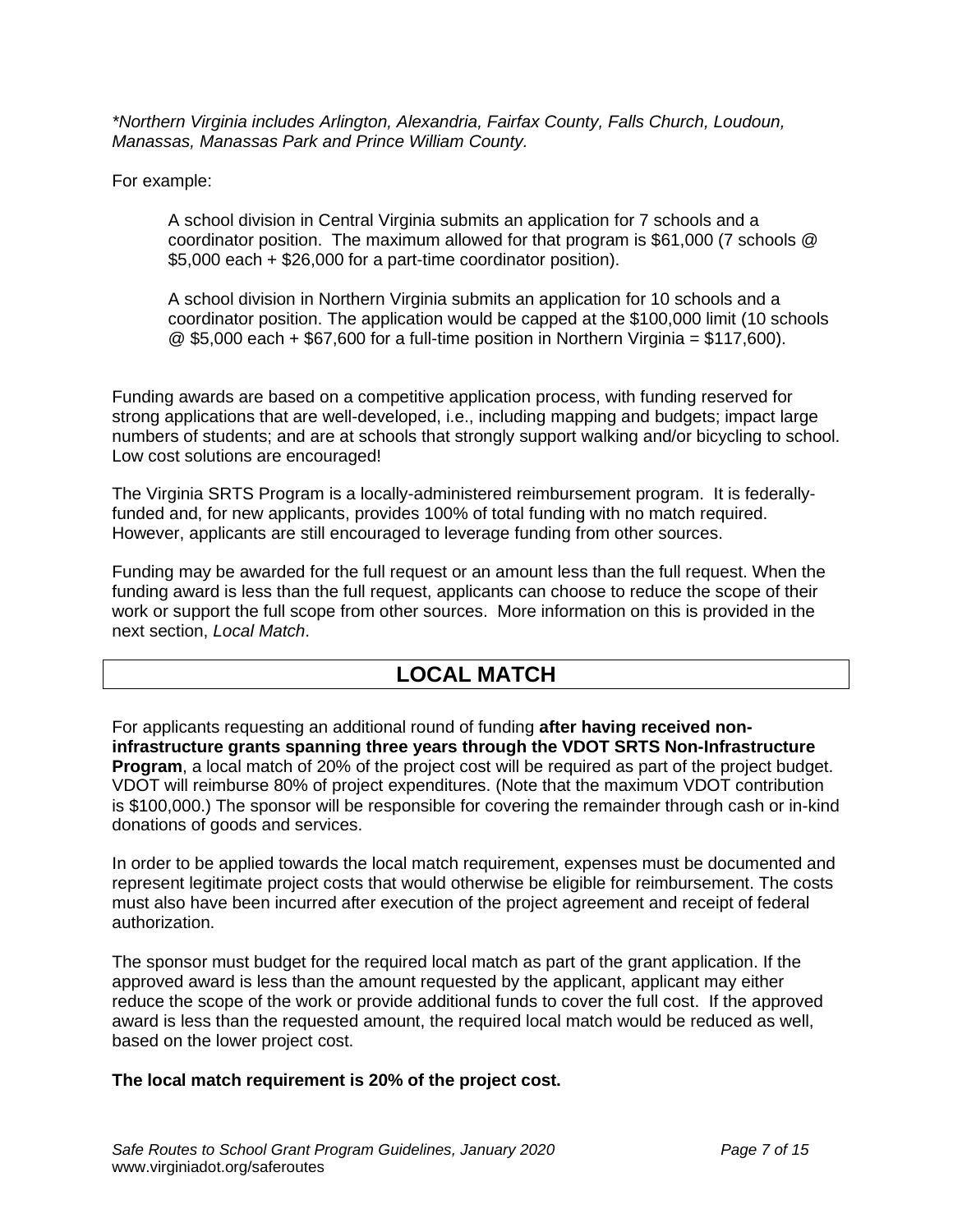*\*Northern Virginia includes Arlington, Alexandria, Fairfax County, Falls Church, Loudoun, Manassas, Manassas Park and Prince William County.*

For example:

A school division in Central Virginia submits an application for 7 schools and a coordinator position. The maximum allowed for that program is \$61,000 (7 schools @ \$5,000 each + \$26,000 for a part-time coordinator position).

A school division in Northern Virginia submits an application for 10 schools and a coordinator position. The application would be capped at the \$100,000 limit (10 schools  $\textcircled{2}$  \$5,000 each + \$67,600 for a full-time position in Northern Virginia = \$117,600).

Funding awards are based on a competitive application process, with funding reserved for strong applications that are well-developed, i.e., including mapping and budgets; impact large numbers of students; and are at schools that strongly support walking and/or bicycling to school. Low cost solutions are encouraged!

The Virginia SRTS Program is a locally-administered reimbursement program. It is federallyfunded and, for new applicants, provides 100% of total funding with no match required. However, applicants are still encouraged to leverage funding from other sources.

Funding may be awarded for the full request or an amount less than the full request. When the funding award is less than the full request, applicants can choose to reduce the scope of their work or support the full scope from other sources. More information on this is provided in the next section, *Local Match*.

## **LOCAL MATCH**

For applicants requesting an additional round of funding **after having received noninfrastructure grants spanning three years through the VDOT SRTS Non-Infrastructure Program**, a local match of 20% of the project cost will be required as part of the project budget. VDOT will reimburse 80% of project expenditures. (Note that the maximum VDOT contribution is \$100,000.) The sponsor will be responsible for covering the remainder through cash or in-kind donations of goods and services.

In order to be applied towards the local match requirement, expenses must be documented and represent legitimate project costs that would otherwise be eligible for reimbursement. The costs must also have been incurred after execution of the project agreement and receipt of federal authorization.

The sponsor must budget for the required local match as part of the grant application. If the approved award is less than the amount requested by the applicant, applicant may either reduce the scope of the work or provide additional funds to cover the full cost. If the approved award is less than the requested amount, the required local match would be reduced as well, based on the lower project cost.

#### **The local match requirement is 20% of the project cost.**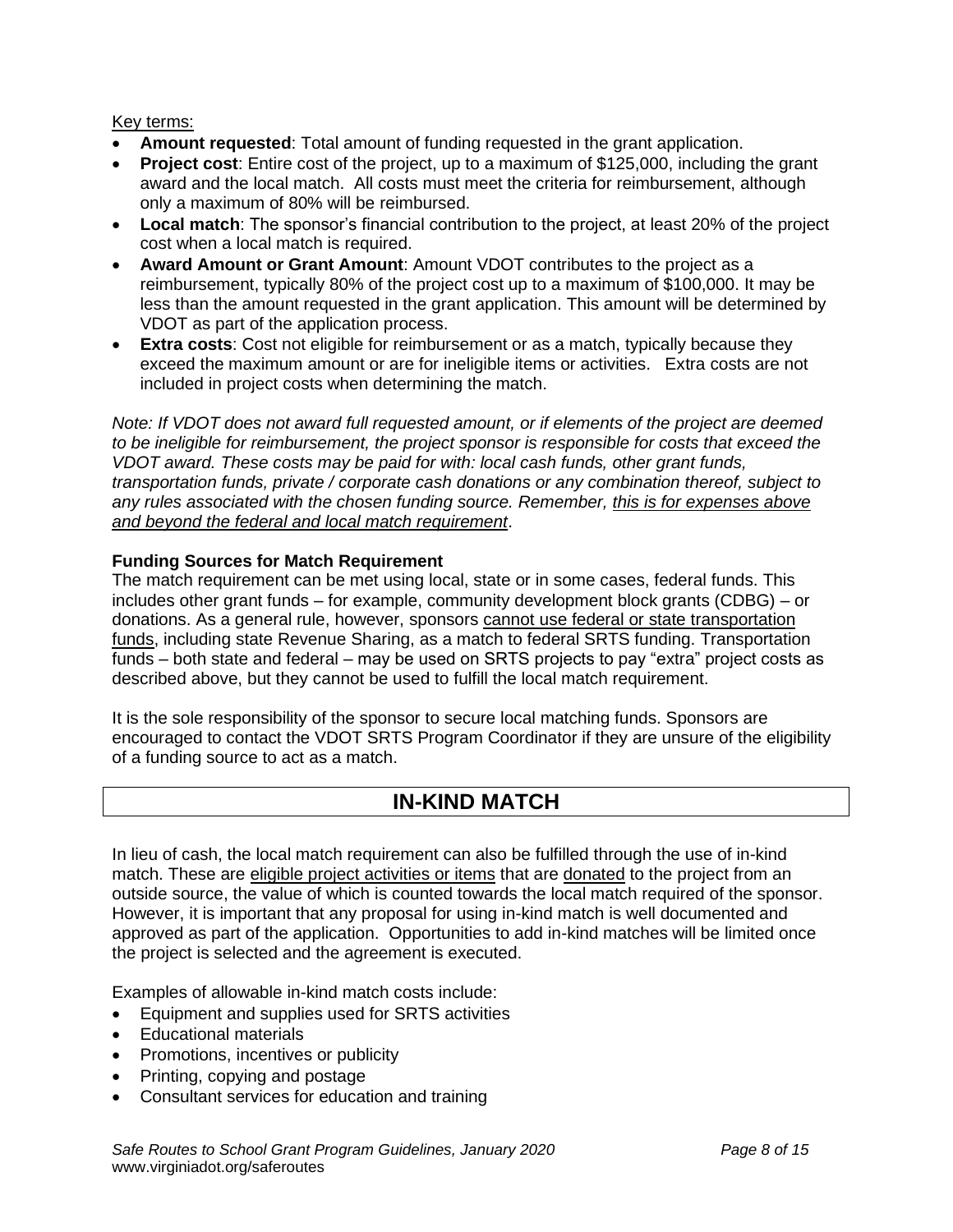Key terms:

- **Amount requested**: Total amount of funding requested in the grant application.
- **Project cost**: Entire cost of the project, up to a maximum of \$125,000, including the grant award and the local match. All costs must meet the criteria for reimbursement, although only a maximum of 80% will be reimbursed.
- **Local match**: The sponsor's financial contribution to the project, at least 20% of the project cost when a local match is required.
- **Award Amount or Grant Amount**: Amount VDOT contributes to the project as a reimbursement, typically 80% of the project cost up to a maximum of \$100,000. It may be less than the amount requested in the grant application. This amount will be determined by VDOT as part of the application process.
- **Extra costs**: Cost not eligible for reimbursement or as a match, typically because they exceed the maximum amount or are for ineligible items or activities. Extra costs are not included in project costs when determining the match.

*Note: If VDOT does not award full requested amount, or if elements of the project are deemed to be ineligible for reimbursement, the project sponsor is responsible for costs that exceed the VDOT award. These costs may be paid for with: local cash funds, other grant funds, transportation funds, private / corporate cash donations or any combination thereof, subject to any rules associated with the chosen funding source. Remember, this is for expenses above and beyond the federal and local match requirement*.

#### **Funding Sources for Match Requirement**

The match requirement can be met using local, state or in some cases, federal funds. This includes other grant funds – for example, community development block grants (CDBG) – or donations. As a general rule, however, sponsors cannot use federal or state transportation funds, including state Revenue Sharing, as a match to federal SRTS funding. Transportation funds – both state and federal – may be used on SRTS projects to pay "extra" project costs as described above, but they cannot be used to fulfill the local match requirement.

It is the sole responsibility of the sponsor to secure local matching funds. Sponsors are encouraged to contact the VDOT SRTS Program Coordinator if they are unsure of the eligibility of a funding source to act as a match.

## **IN-KIND MATCH**

In lieu of cash, the local match requirement can also be fulfilled through the use of in-kind match. These are eligible project activities or items that are donated to the project from an outside source, the value of which is counted towards the local match required of the sponsor. However, it is important that any proposal for using in-kind match is well documented and approved as part of the application. Opportunities to add in-kind matches will be limited once the project is selected and the agreement is executed.

Examples of allowable in-kind match costs include:

- Equipment and supplies used for SRTS activities
- Educational materials
- Promotions, incentives or publicity
- Printing, copying and postage
- Consultant services for education and training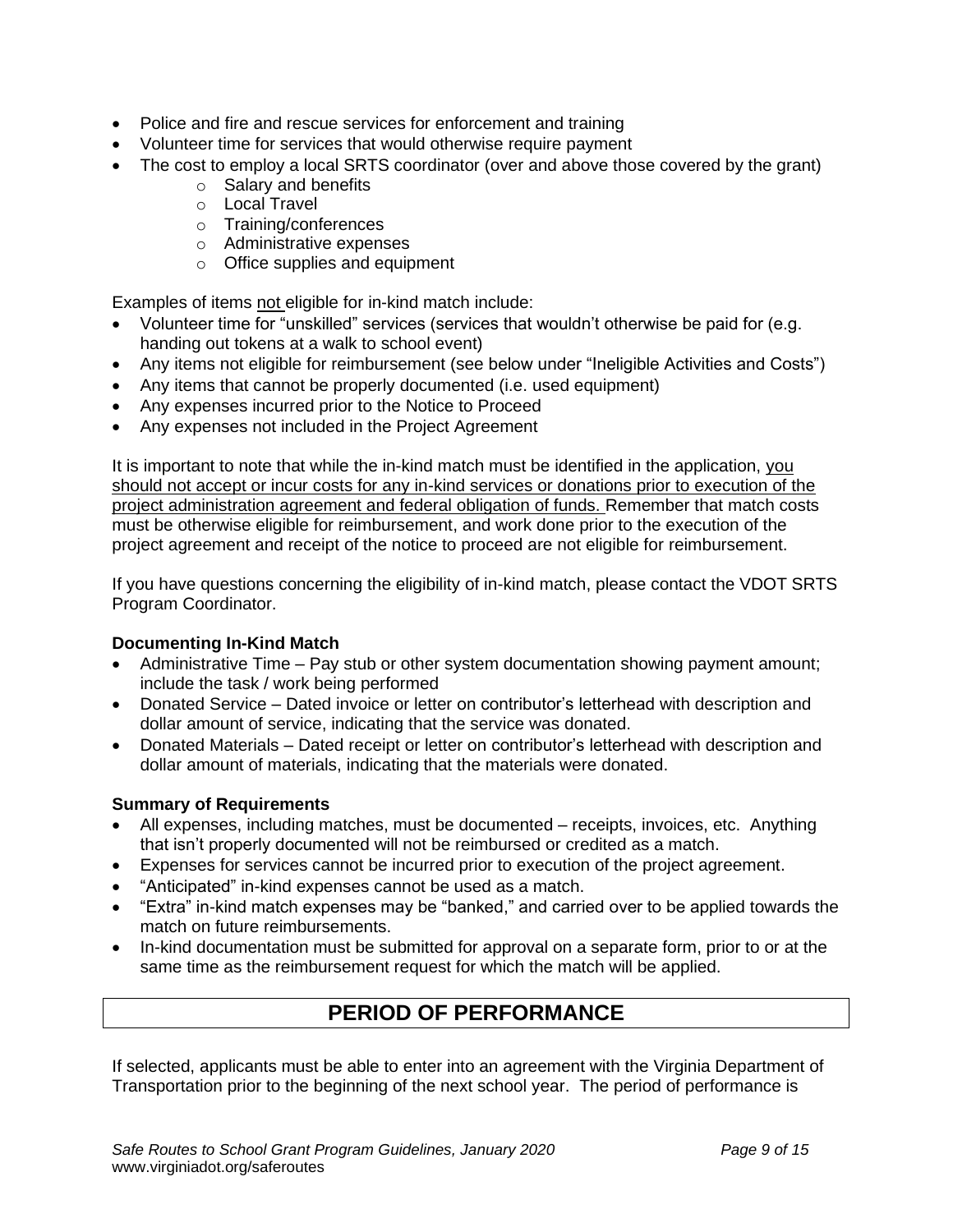- Police and fire and rescue services for enforcement and training
- Volunteer time for services that would otherwise require payment
- The cost to employ a local SRTS coordinator (over and above those covered by the grant)
	- o Salary and benefits
	- o Local Travel
	- o Training/conferences
	- o Administrative expenses
	- o Office supplies and equipment

Examples of items not eligible for in-kind match include:

- Volunteer time for "unskilled" services (services that wouldn't otherwise be paid for (e.g. handing out tokens at a walk to school event)
- Any items not eligible for reimbursement (see below under "Ineligible Activities and Costs")
- Any items that cannot be properly documented (i.e. used equipment)
- Any expenses incurred prior to the Notice to Proceed
- Any expenses not included in the Project Agreement

It is important to note that while the in-kind match must be identified in the application, you should not accept or incur costs for any in-kind services or donations prior to execution of the project administration agreement and federal obligation of funds. Remember that match costs must be otherwise eligible for reimbursement, and work done prior to the execution of the project agreement and receipt of the notice to proceed are not eligible for reimbursement.

If you have questions concerning the eligibility of in-kind match, please contact the VDOT SRTS Program Coordinator.

#### **Documenting In-Kind Match**

- Administrative Time Pay stub or other system documentation showing payment amount; include the task / work being performed
- Donated Service Dated invoice or letter on contributor's letterhead with description and dollar amount of service, indicating that the service was donated.
- Donated Materials Dated receipt or letter on contributor's letterhead with description and dollar amount of materials, indicating that the materials were donated.

#### **Summary of Requirements**

- All expenses, including matches, must be documented receipts, invoices, etc. Anything that isn't properly documented will not be reimbursed or credited as a match.
- Expenses for services cannot be incurred prior to execution of the project agreement.
- "Anticipated" in-kind expenses cannot be used as a match.
- "Extra" in-kind match expenses may be "banked," and carried over to be applied towards the match on future reimbursements.
- In-kind documentation must be submitted for approval on a separate form, prior to or at the same time as the reimbursement request for which the match will be applied.

## **PERIOD OF PERFORMANCE**

If selected, applicants must be able to enter into an agreement with the Virginia Department of Transportation prior to the beginning of the next school year. The period of performance is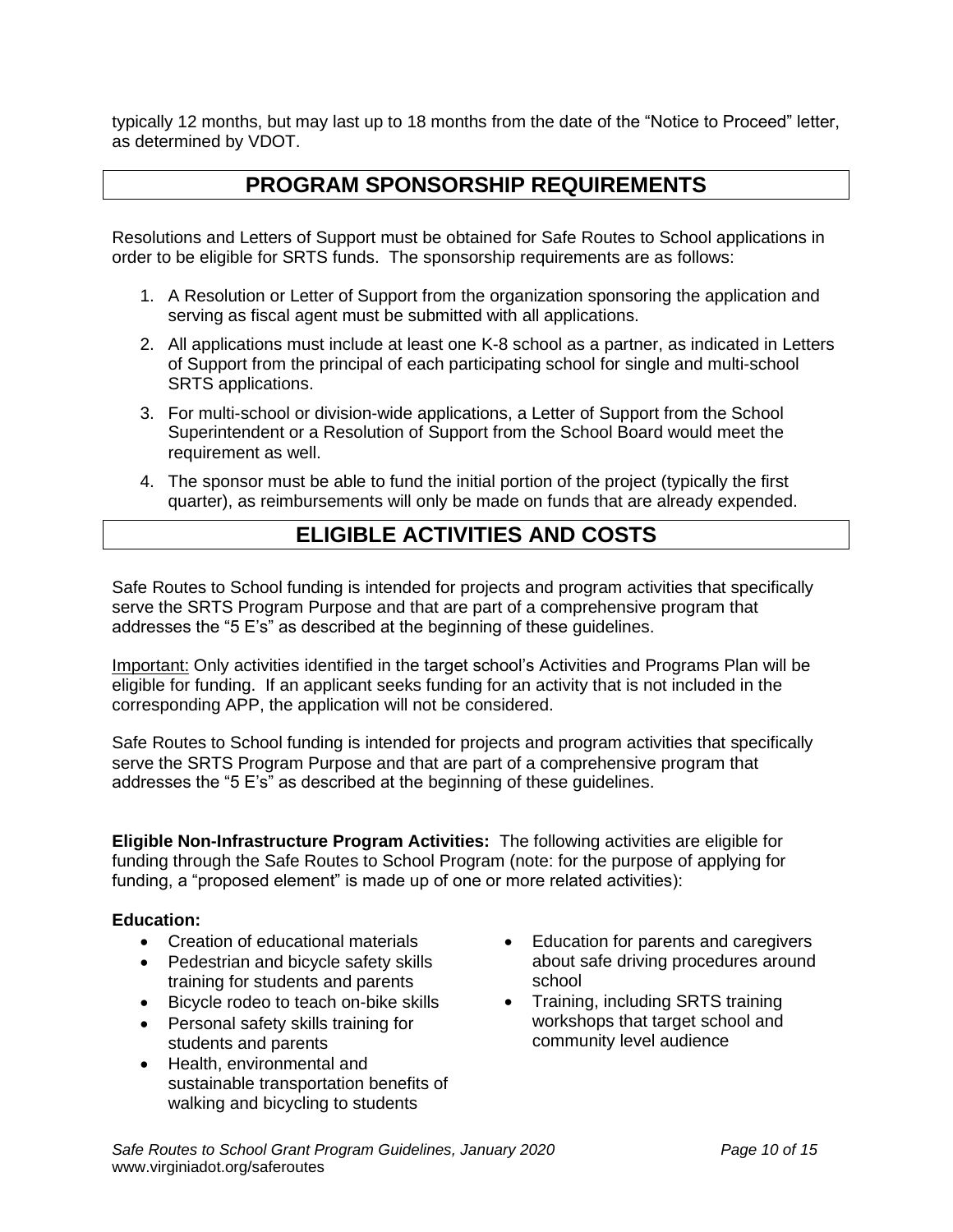typically 12 months, but may last up to 18 months from the date of the "Notice to Proceed" letter, as determined by VDOT.

## **PROGRAM SPONSORSHIP REQUIREMENTS**

Resolutions and Letters of Support must be obtained for Safe Routes to School applications in order to be eligible for SRTS funds. The sponsorship requirements are as follows:

- 1. A Resolution or Letter of Support from the organization sponsoring the application and serving as fiscal agent must be submitted with all applications.
- 2. All applications must include at least one K-8 school as a partner, as indicated in Letters of Support from the principal of each participating school for single and multi-school SRTS applications.
- 3. For multi-school or division-wide applications, a Letter of Support from the School Superintendent or a Resolution of Support from the School Board would meet the requirement as well.
- 4. The sponsor must be able to fund the initial portion of the project (typically the first quarter), as reimbursements will only be made on funds that are already expended.

## **ELIGIBLE ACTIVITIES AND COSTS**

Safe Routes to School funding is intended for projects and program activities that specifically serve the SRTS Program Purpose and that are part of a comprehensive program that addresses the "5 E's" as described at the beginning of these guidelines.

Important: Only activities identified in the target school's Activities and Programs Plan will be eligible for funding. If an applicant seeks funding for an activity that is not included in the corresponding APP, the application will not be considered.

Safe Routes to School funding is intended for projects and program activities that specifically serve the SRTS Program Purpose and that are part of a comprehensive program that addresses the "5 E's" as described at the beginning of these guidelines.

**Eligible Non-Infrastructure Program Activities:** The following activities are eligible for funding through the Safe Routes to School Program (note: for the purpose of applying for funding, a "proposed element" is made up of one or more related activities):

#### **Education:**

- Creation of educational materials
- Pedestrian and bicycle safety skills training for students and parents
- Bicycle rodeo to teach on-bike skills
- Personal safety skills training for students and parents
- Health, environmental and sustainable transportation benefits of walking and bicycling to students
- Education for parents and caregivers about safe driving procedures around school
- Training, including SRTS training workshops that target school and community level audience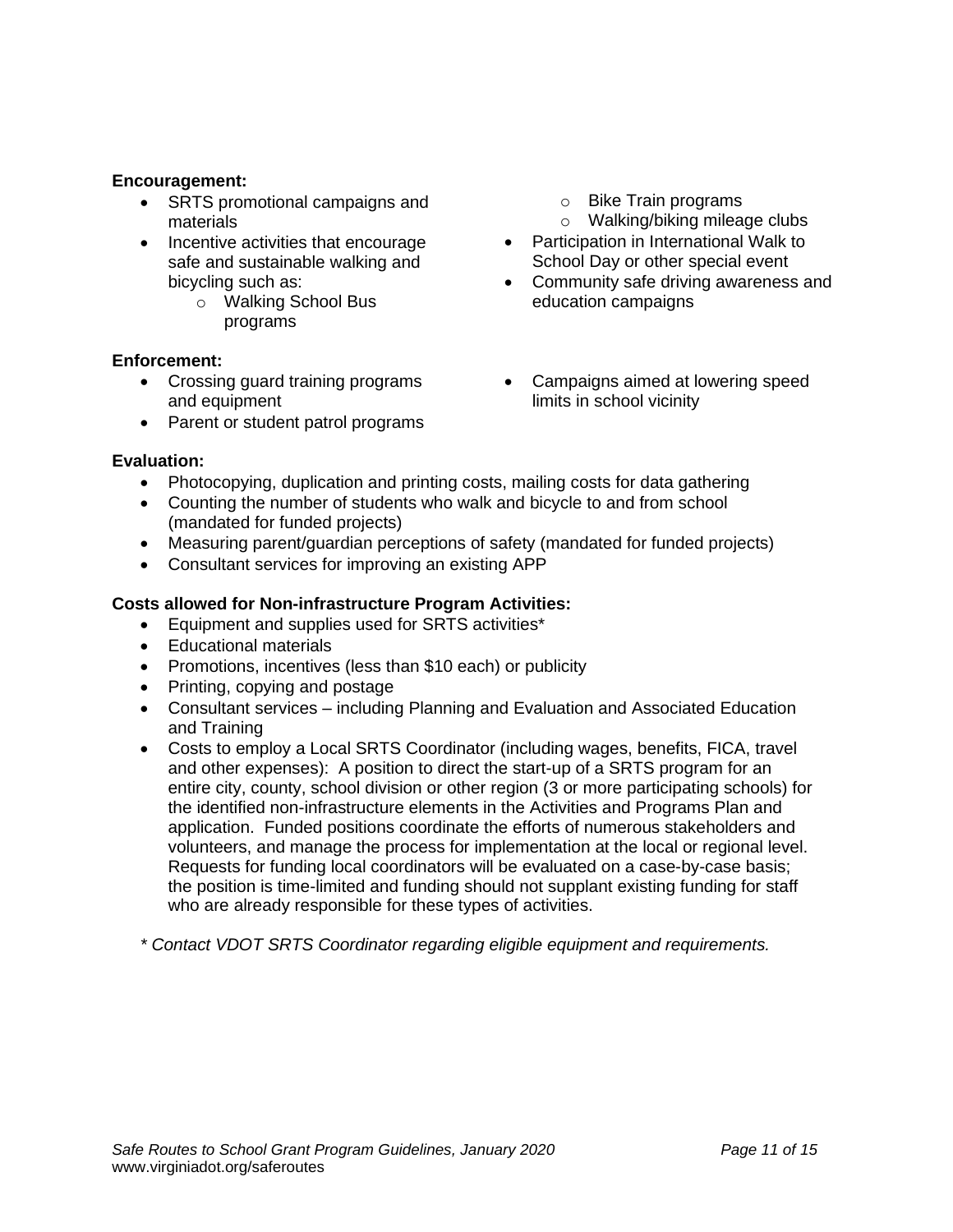#### **Encouragement:**

- SRTS promotional campaigns and materials
- Incentive activities that encourage safe and sustainable walking and bicycling such as:
	- o Walking School Bus programs

#### **Enforcement:**

- Crossing guard training programs and equipment
- Parent or student patrol programs
- o Bike Train programs
- o Walking/biking mileage clubs
- Participation in International Walk to School Day or other special event
- Community safe driving awareness and education campaigns
- Campaigns aimed at lowering speed limits in school vicinity

#### **Evaluation:**

- Photocopying, duplication and printing costs, mailing costs for data gathering
- Counting the number of students who walk and bicycle to and from school (mandated for funded projects)
- Measuring parent/guardian perceptions of safety (mandated for funded projects)
- Consultant services for improving an existing APP

#### **Costs allowed for Non-infrastructure Program Activities:**

- Equipment and supplies used for SRTS activities\*
- Educational materials
- Promotions, incentives (less than \$10 each) or publicity
- Printing, copying and postage
- Consultant services including Planning and Evaluation and Associated Education and Training
- Costs to employ a Local SRTS Coordinator (including wages, benefits, FICA, travel and other expenses): A position to direct the start-up of a SRTS program for an entire city, county, school division or other region (3 or more participating schools) for the identified non-infrastructure elements in the Activities and Programs Plan and application. Funded positions coordinate the efforts of numerous stakeholders and volunteers, and manage the process for implementation at the local or regional level. Requests for funding local coordinators will be evaluated on a case-by-case basis; the position is time-limited and funding should not supplant existing funding for staff who are already responsible for these types of activities.

*\* Contact VDOT SRTS Coordinator regarding eligible equipment and requirements.*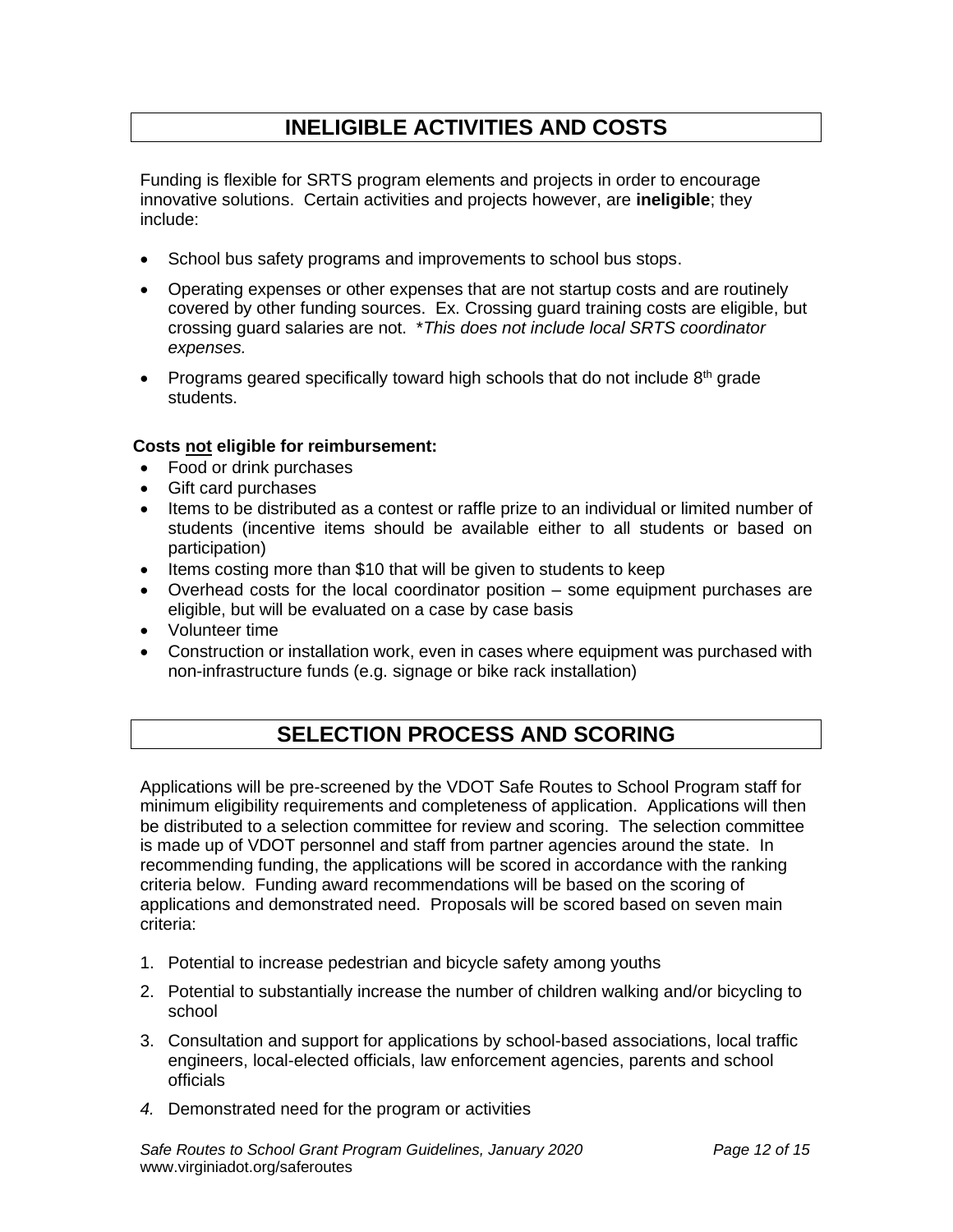## **INELIGIBLE ACTIVITIES AND COSTS**

Funding is flexible for SRTS program elements and projects in order to encourage innovative solutions. Certain activities and projects however, are **ineligible**; they include:

- School bus safety programs and improvements to school bus stops.
- Operating expenses or other expenses that are not startup costs and are routinely covered by other funding sources. Ex. Crossing guard training costs are eligible, but crossing guard salaries are not. \**This does not include local SRTS coordinator expenses.*
- Programs geared specifically toward high schools that do not include  $8<sup>th</sup>$  grade students.

#### **Costs not eligible for reimbursement:**

- Food or drink purchases
- Gift card purchases
- Items to be distributed as a contest or raffle prize to an individual or limited number of students (incentive items should be available either to all students or based on participation)
- Items costing more than \$10 that will be given to students to keep
- Overhead costs for the local coordinator position some equipment purchases are eligible, but will be evaluated on a case by case basis
- Volunteer time
- Construction or installation work, even in cases where equipment was purchased with non-infrastructure funds (e.g. signage or bike rack installation)

## **SELECTION PROCESS AND SCORING**

Applications will be pre-screened by the VDOT Safe Routes to School Program staff for minimum eligibility requirements and completeness of application. Applications will then be distributed to a selection committee for review and scoring. The selection committee is made up of VDOT personnel and staff from partner agencies around the state. In recommending funding, the applications will be scored in accordance with the ranking criteria below. Funding award recommendations will be based on the scoring of applications and demonstrated need. Proposals will be scored based on seven main criteria:

- 1. Potential to increase pedestrian and bicycle safety among youths
- 2. Potential to substantially increase the number of children walking and/or bicycling to school
- 3. Consultation and support for applications by school-based associations, local traffic engineers, local-elected officials, law enforcement agencies, parents and school officials
- *4.* Demonstrated need for the program or activities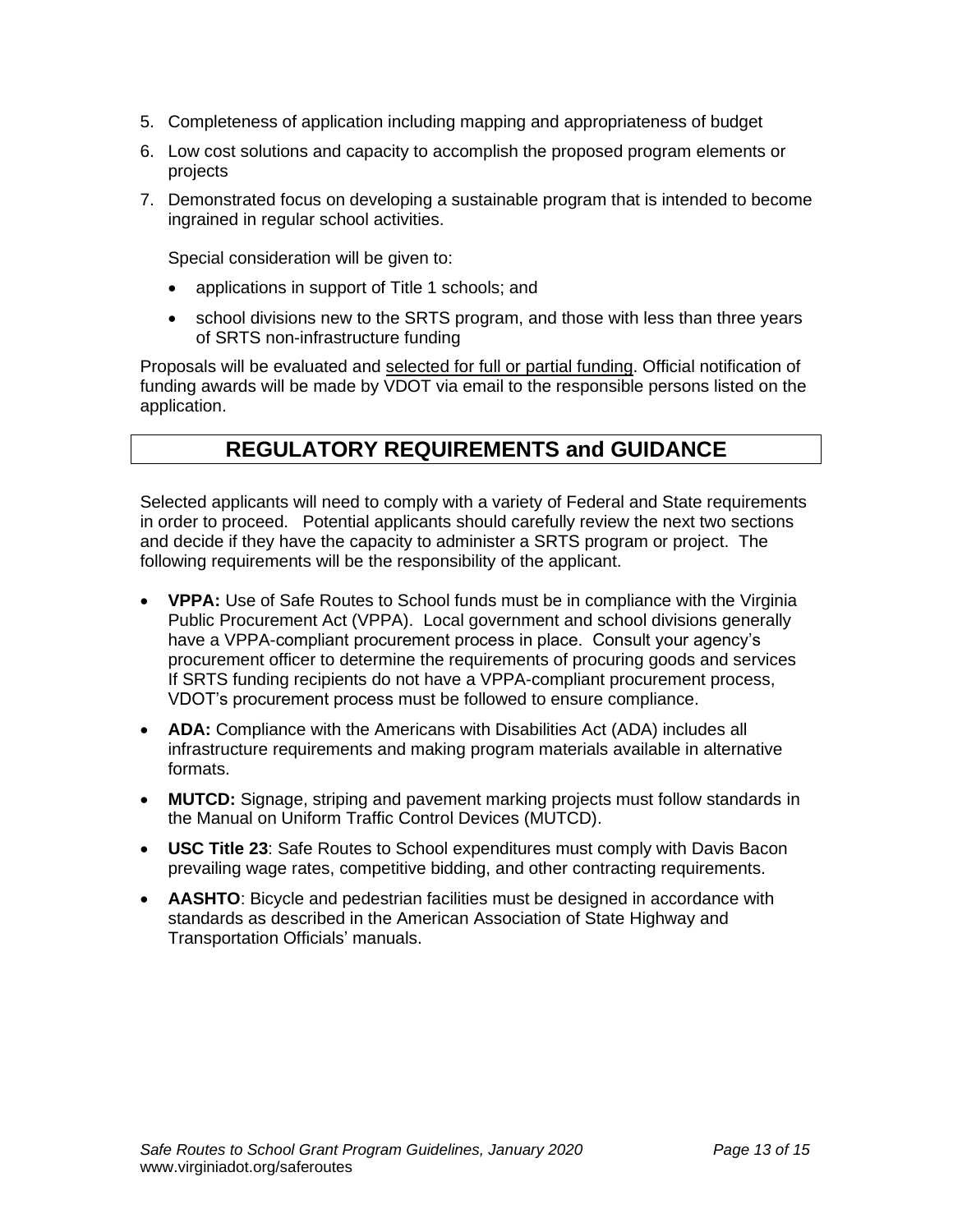- 5. Completeness of application including mapping and appropriateness of budget
- 6. Low cost solutions and capacity to accomplish the proposed program elements or projects
- 7. Demonstrated focus on developing a sustainable program that is intended to become ingrained in regular school activities.

Special consideration will be given to:

- applications in support of Title 1 schools; and
- school divisions new to the SRTS program, and those with less than three years of SRTS non-infrastructure funding

Proposals will be evaluated and selected for full or partial funding. Official notification of funding awards will be made by VDOT via email to the responsible persons listed on the application.

## **REGULATORY REQUIREMENTS and GUIDANCE**

Selected applicants will need to comply with a variety of Federal and State requirements in order to proceed. Potential applicants should carefully review the next two sections and decide if they have the capacity to administer a SRTS program or project. The following requirements will be the responsibility of the applicant.

- **VPPA:** Use of Safe Routes to School funds must be in compliance with the Virginia Public Procurement Act (VPPA). Local government and school divisions generally have a VPPA-compliant procurement process in place. Consult your agency's procurement officer to determine the requirements of procuring goods and services If SRTS funding recipients do not have a VPPA-compliant procurement process, VDOT's procurement process must be followed to ensure compliance.
- **ADA:** Compliance with the Americans with Disabilities Act (ADA) includes all infrastructure requirements and making program materials available in alternative formats.
- **MUTCD:** Signage, striping and pavement marking projects must follow standards in the Manual on Uniform Traffic Control Devices (MUTCD).
- **USC Title 23**: Safe Routes to School expenditures must comply with Davis Bacon prevailing wage rates, competitive bidding, and other contracting requirements.
- **AASHTO**: Bicycle and pedestrian facilities must be designed in accordance with standards as described in the American Association of State Highway and Transportation Officials' manuals.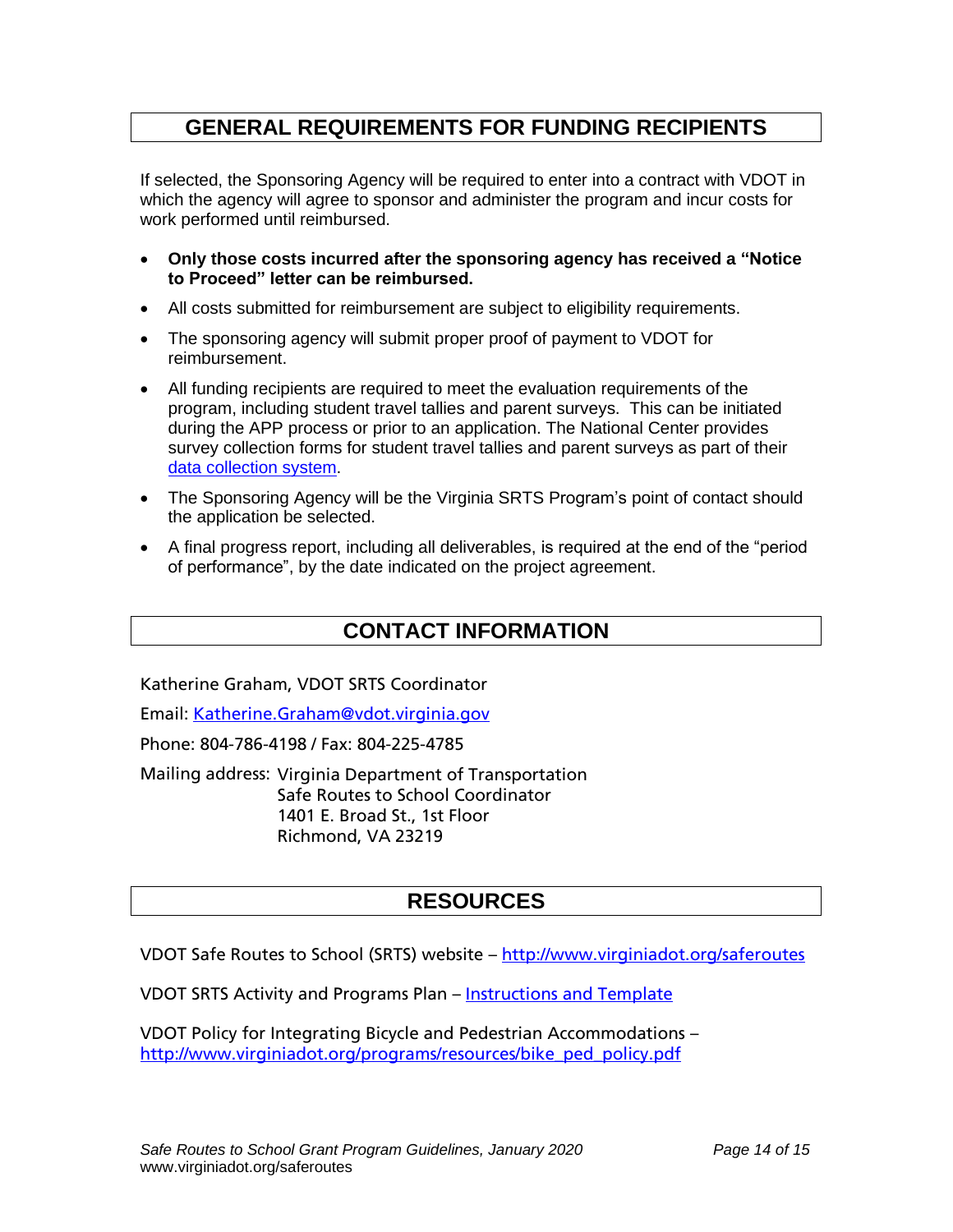## **GENERAL REQUIREMENTS FOR FUNDING RECIPIENTS**

If selected, the Sponsoring Agency will be required to enter into a contract with VDOT in which the agency will agree to sponsor and administer the program and incur costs for work performed until reimbursed.

- **Only those costs incurred after the sponsoring agency has received a "Notice to Proceed" letter can be reimbursed.**
- All costs submitted for reimbursement are subject to eligibility requirements.
- The sponsoring agency will submit proper proof of payment to VDOT for reimbursement.
- All funding recipients are required to meet the evaluation requirements of the program, including student travel tallies and parent surveys. This can be initiated during the APP process or prior to an application. The National Center provides survey collection forms for student travel tallies and parent surveys as part of their [data collection system.](http://saferoutesdata.org/)
- The Sponsoring Agency will be the Virginia SRTS Program's point of contact should the application be selected.
- A final progress report, including all deliverables, is required at the end of the "period of performance", by the date indicated on the project agreement.

## **CONTACT INFORMATION**

Katherine Graham, VDOT SRTS Coordinator

Email: [Katherine.Graham@vdot.virginia.gov](mailto:Katherine.Graham@vdot.virginia.gov)

Phone: 804-786-4198 / Fax: 804-225-4785

Mailing address: Virginia Department of Transportation Safe Routes to School Coordinator 1401 E. Broad St., 1st Floor Richmond, VA 23219

## **RESOURCES**

VDOT Safe Routes to School (SRTS) website - <http://www.virginiadot.org/saferoutes>

VDOT SRTS Activity and Programs Plan – [Instructions and Template](http://www.virginiadot.org/programs/srsm_srts_activities_and_programs_plan_app_for_non-infrastructure_grantsactivities_and_programs_plan_non-infrastructure_act.asp)

VDOT Policy for Integrating Bicycle and Pedestrian Accommodations – [http://www.virginiadot.org/programs/resources/bike\\_ped\\_policy.pdf](http://www.virginiadot.org/programs/resources/bike_ped_policy.pdf)